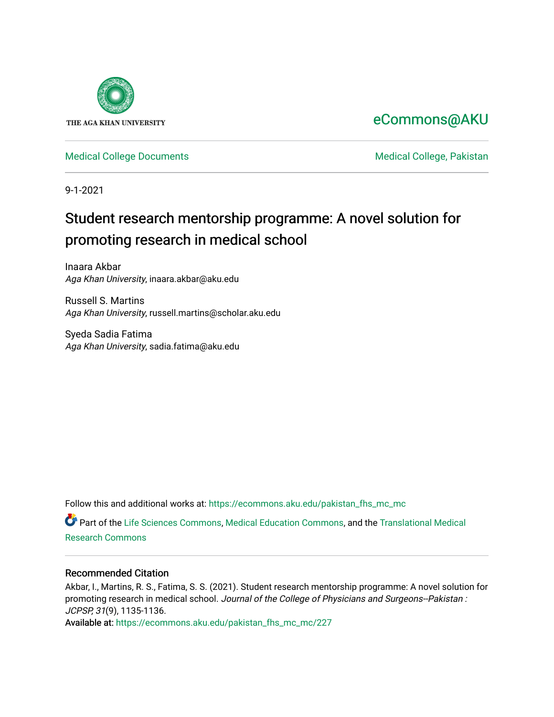

# [eCommons@AKU](https://ecommons.aku.edu/)

# [Medical College Documents](https://ecommons.aku.edu/pakistan_fhs_mc_mc) **Medical College, Pakistan**

9-1-2021

# Student research mentorship programme: A novel solution for promoting research in medical school

Inaara Akbar Aga Khan University, inaara.akbar@aku.edu

Russell S. Martins Aga Khan University, russell.martins@scholar.aku.edu

Syeda Sadia Fatima Aga Khan University, sadia.fatima@aku.edu

Follow this and additional works at: [https://ecommons.aku.edu/pakistan\\_fhs\\_mc\\_mc](https://ecommons.aku.edu/pakistan_fhs_mc_mc?utm_source=ecommons.aku.edu%2Fpakistan_fhs_mc_mc%2F227&utm_medium=PDF&utm_campaign=PDFCoverPages) 

Part of the [Life Sciences Commons,](http://network.bepress.com/hgg/discipline/1016?utm_source=ecommons.aku.edu%2Fpakistan_fhs_mc_mc%2F227&utm_medium=PDF&utm_campaign=PDFCoverPages) [Medical Education Commons,](http://network.bepress.com/hgg/discipline/1125?utm_source=ecommons.aku.edu%2Fpakistan_fhs_mc_mc%2F227&utm_medium=PDF&utm_campaign=PDFCoverPages) and the [Translational Medical](http://network.bepress.com/hgg/discipline/1124?utm_source=ecommons.aku.edu%2Fpakistan_fhs_mc_mc%2F227&utm_medium=PDF&utm_campaign=PDFCoverPages) [Research Commons](http://network.bepress.com/hgg/discipline/1124?utm_source=ecommons.aku.edu%2Fpakistan_fhs_mc_mc%2F227&utm_medium=PDF&utm_campaign=PDFCoverPages) 

### Recommended Citation

Akbar, I., Martins, R. S., Fatima, S. S. (2021). Student research mentorship programme: A novel solution for promoting research in medical school. Journal of the College of Physicians and Surgeons--Pakistan : JCPSP, 31(9), 1135-1136.

Available at: [https://ecommons.aku.edu/pakistan\\_fhs\\_mc\\_mc/227](https://ecommons.aku.edu/pakistan_fhs_mc_mc/227)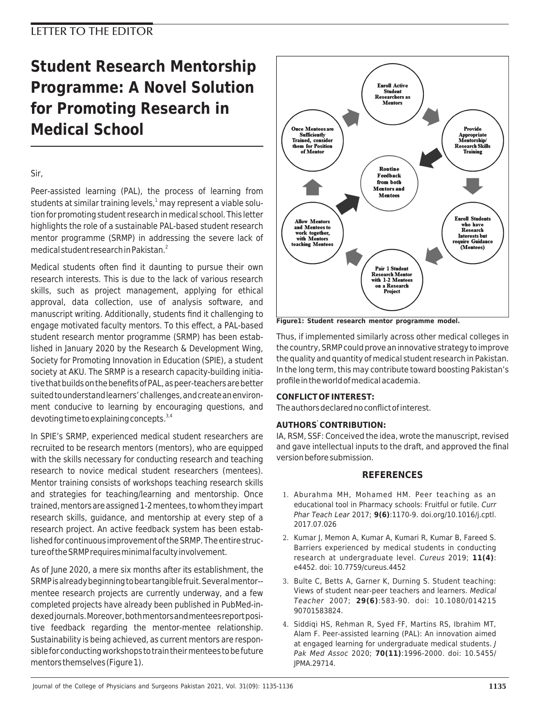# **Student Research Mentorship Programme: A Novel Solution for Promoting Research in Medical School**

# Sir,

Peer-assisted learning (PAL), the process of learning from students at similar training levels,<sup>1</sup> may represent a viable solution for promoting student research in medical school. This letter highlights the role of a sustainable PAL-based student research mentor programme (SRMP) in addressing the severe lack of medical student research in Pakistan.<sup>2</sup>

Medical students often find it daunting to pursue their own research interests. This is due to the lack of various research skills, such as project management, applying for ethical approval, data collection, use of analysis software, and manuscript writing. Additionally, students find it challenging to engage motivated faculty mentors. To this effect, a PAL-based student research mentor programme (SRMP) has been established in January 2020 by the Research & Development Wing, Society for Promoting Innovation in Education (SPIE), a student society at AKU. The SRMP is a research capacity-building initiative that builds on the benefits of PAL, as peer-teachers are better suited to understand learners' challenges, and create an environment conducive to learning by encouraging questions, and devoting time to explaining concepts. $3,4$ 

In SPIE's SRMP, experienced medical student researchers are recruited to be research mentors (mentors), who are equipped with the skills necessary for conducting research and teaching research to novice medical student researchers (mentees). Mentor training consists of workshops teaching research skills and strategies for teaching/learning and mentorship. Once trained, mentors are assigned 1-2 mentees, to whom they impart research skills, guidance, and mentorship at every step of a research project. An active feedback system has been established for continuous improvement of the SRMP. The entire structure of the SRMP requires minimal faculty involvement.

As of June 2020, a mere six months after its establishment, the SRMP is already beginning to bear tangible fruit. Several mentor- mentee research projects are currently underway, and a few completed projects have already been published in PubMed-indexed journals. Moreover, both mentors and mentees report positive feedback regarding the mentor-mentee relationship. Sustainability is being achieved, as current mentors are responsible for conducting workshops to train their mentees to be future mentors themselves (Figure 1).



**Figure1: Student research mentor programme model.**

Thus, if implemented similarly across other medical colleges in the country, SRMP could prove an innovative strategy to improve the quality and quantity of medical student research in Pakistan. In the long term, this may contribute toward boosting Pakistan's profile in the world of medical academia.

#### **CONFLICT OF INTEREST:**

The authors declared no conflict of interest.

#### **AUTHORS' CONTRIBUTION:**

IA, RSM, SSF: Conceived the idea, wrote the manuscript, revised and gave intellectual inputs to the draft, and approved the final version before submission.

### **REFERENCES**

- 1. Aburahma MH, Mohamed HM. Peer teaching as an educational tool in Pharmacy schools: Fruitful or futile. Curr Phar Teach Lear 2017; **9(6)**:1170-9. doi.org/10.1016/j.cptl. 2017.07.026
- 2. Kumar J, Memon A, Kumar A, Kumari R, Kumar B, Fareed S. Barriers experienced by medical students in conducting research at undergraduate level. Cureus 2019; **11(4)**: e4452. doi: 10.7759/cureus.4452
- 3. Bulte C, Betts A, Garner K, Durning S. Student teaching: Views of student near-peer teachers and learners. Medical Teacher 2007; **29(6)**:583-90. doi: 10.1080/014215 90701583824.
- 4. Siddiqi HS, Rehman R, Syed FF, Martins RS, Ibrahim MT, Alam F. Peer-assisted learning (PAL): An innovation aimed at engaged learning for undergraduate medical students. J Pak Med Assoc 2020; **70(11)**:1996-2000. doi: 10.5455/ JPMA.29714.